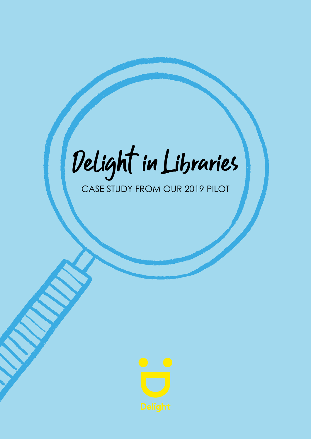# Delight in Libraries

#### CASE STUDY FROM OUR 2019 PILOT

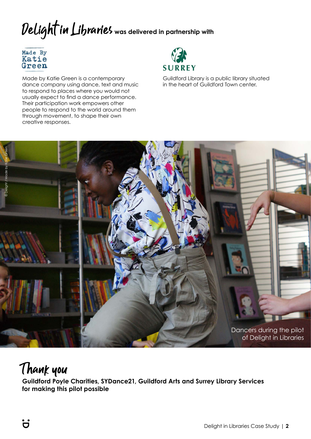# Delight in Libraries **was delivered in partnership with**



Made by Katie Green is a contemporary dance company using dance, text and music to respond to places where you would not usually expect to find a dance performance. Their participation work empowers other people to respond to the world around them through movement, to shape their own creative responses.



Guildford Library is a public library situated in the heart of Guildford Town center.



#### Thank you

**Guildford Poyle Charities, SYDance21, Guildford Arts and Surrey Library Services for making this pilot possible**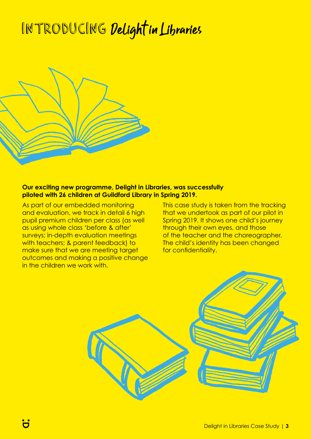## INTRODUCING Delight in Libraries



#### **Our exciting new programme, Delight in Libraries, was successfully piloted with 26 children at Guildford Library in Spring 2019.**

As part of our embedded monitoring and evaluation, we track in detail 6 high pupil premium children per class (as well as using whole class 'before & after' surveys; in-depth evaluation meetings with teachers; & parent feedback) to make sure that we are meeting target outcomes and making a positive change in the children we work with

This case study is taken from the tracking that we undertook as part of our pilot in Spring 2019. It shows one child's journey through their own eyes, and those of the teacher and the choreographer. The child's identity has been changed for confidentiality.

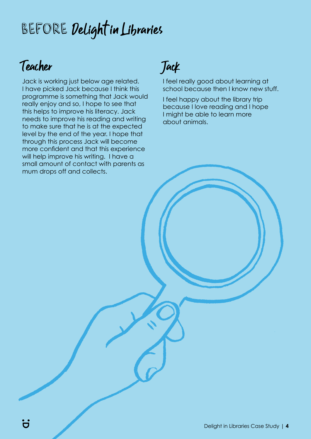# Before Delight in Libraries

#### Teacher

Jack is working just below age related. I have picked Jack because I think this programme is something that Jack would really enjoy and so, I hope to see that this helps to improve his literacy. Jack needs to improve his reading and writing to make sure that he is at the expected level by the end of the year. I hope that through this process Jack will become more confident and that this experience will help improve his writing. I have a small amount of contact with parents as mum drops off and collects.

### Jack

I feel really good about learning at school because then I know new stuff.

I feel happy about the library trip because I love reading and I hope I might be able to learn more about animals.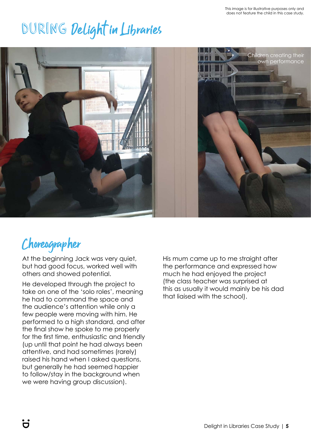# During Delight in Libraries



#### Choreographer

At the beginning Jack was very quiet, but had good focus, worked well with others and showed potential.

He developed through the project to take on one of the 'solo roles', meaning he had to command the space and the audience's attention while only a few people were moving with him. He performed to a high standard, and after the final show he spoke to me properly for the first time, enthusiastic and friendly (up until that point he had always been attentive, and had sometimes (rarely) raised his hand when I asked questions, but generally he had seemed happier to follow/stay in the background when we were having group discussion).

His mum came up to me straight after the performance and expressed how much he had enjoyed the project (the class teacher was surprised at this as usually it would mainly be his dad that liaised with the school).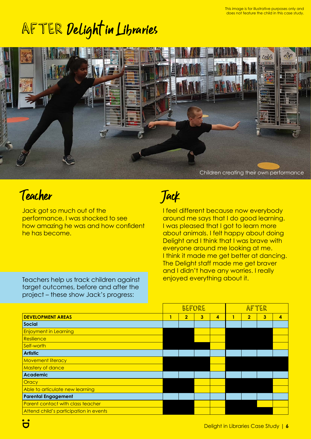# AFTER Delight in Libraries



#### Teacher

Jack got so much out of the performance, I was shocked to see how amazing he was and how confident he has become.

Teachers help us track children against target outcomes, before and after the project – these show Jack's progress:

#### Jack

I feel different because now everybody around me says that I do good learning. I was pleased that I got to learn more about animals. I felt happy about doing Delight and I think that I was brave with everyone around me looking at me. I think it made me get better at dancing. The Delight staff made me get braver and I didn't have any worries. I really enjoyed everything about it.

|                                        | BEFORE |                |                |                | AFTER |                |                |   |
|----------------------------------------|--------|----------------|----------------|----------------|-------|----------------|----------------|---|
| <b>DEVELOPMENT AREAS</b>               | 1      | $\overline{2}$ | $\overline{3}$ | $\overline{4}$ |       | $\overline{2}$ | $\overline{3}$ | 4 |
| <b>Social</b>                          |        |                |                |                |       |                |                |   |
| <b>Enjoyment in Learning</b>           |        |                |                |                |       |                |                |   |
| Resilience                             |        |                |                |                |       |                |                |   |
| Self-worth                             |        |                |                |                |       |                |                |   |
| <b>Artistic</b>                        |        |                |                |                |       |                |                |   |
| <b>Movement literacy</b>               |        |                |                |                |       |                |                |   |
| <b>Mastery of dance</b>                |        |                |                |                |       |                |                |   |
| <b>Academic</b>                        |        |                |                |                |       |                |                |   |
| Oracy                                  |        |                |                |                |       |                |                |   |
| Able to articulate new learning        |        |                |                |                |       |                |                |   |
| <b>Parental Engagement</b>             |        |                |                |                |       |                |                |   |
| Parent contact with class teacher      |        |                |                |                |       |                |                |   |
| Attend child's participation in events |        |                |                |                |       |                |                |   |